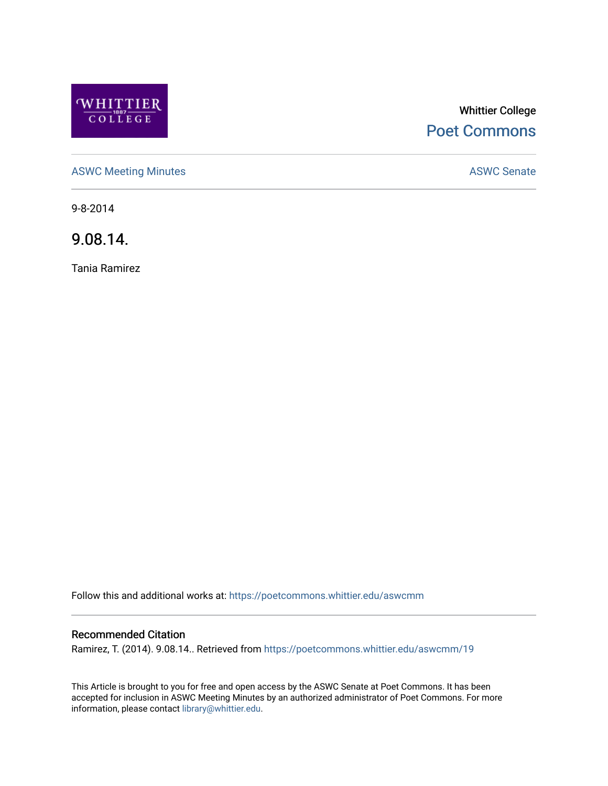

# Whittier College [Poet Commons](https://poetcommons.whittier.edu/)

[ASWC Meeting Minutes](https://poetcommons.whittier.edu/aswcmm) **ASWC Senate** 

9-8-2014

9.08.14.

Tania Ramirez

Follow this and additional works at: [https://poetcommons.whittier.edu/aswcmm](https://poetcommons.whittier.edu/aswcmm?utm_source=poetcommons.whittier.edu%2Faswcmm%2F19&utm_medium=PDF&utm_campaign=PDFCoverPages)

## Recommended Citation

Ramirez, T. (2014). 9.08.14.. Retrieved from [https://poetcommons.whittier.edu/aswcmm/19](https://poetcommons.whittier.edu/aswcmm/19?utm_source=poetcommons.whittier.edu%2Faswcmm%2F19&utm_medium=PDF&utm_campaign=PDFCoverPages) 

This Article is brought to you for free and open access by the ASWC Senate at Poet Commons. It has been accepted for inclusion in ASWC Meeting Minutes by an authorized administrator of Poet Commons. For more information, please contact [library@whittier.edu.](mailto:library@whittier.edu)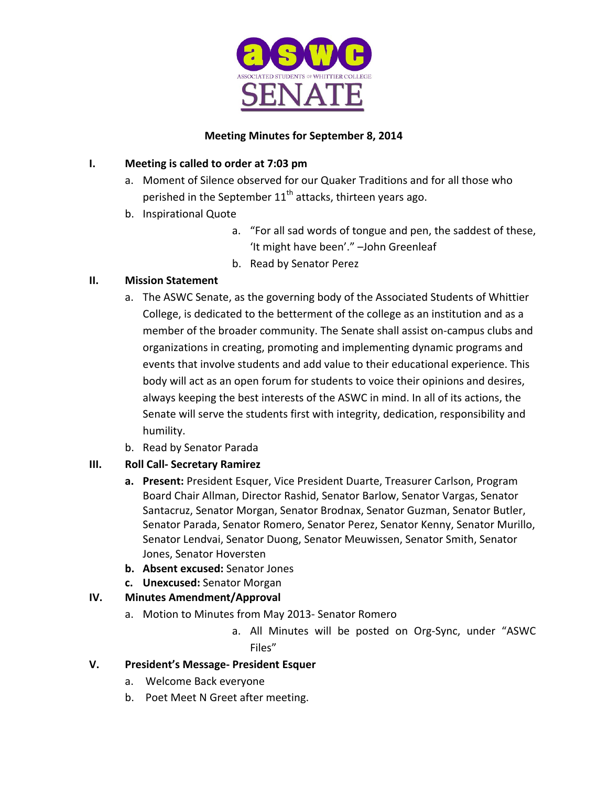

# **Meeting Minutes for September 8, 2014**

# **I.** Meeting is called to order at 7:03 pm

- a. Moment of Silence observed for our Quaker Traditions and for all those who perished in the September  $11<sup>th</sup>$  attacks, thirteen years ago.
- b. Inspirational Quote
	- a. "For all sad words of tongue and pen, the saddest of these, 'It might have been'." -John Greenleaf
	- b. Read by Senator Perez

# **II. Mission Statement**

- a. The ASWC Senate, as the governing body of the Associated Students of Whittier College, is dedicated to the betterment of the college as an institution and as a member of the broader community. The Senate shall assist on-campus clubs and organizations in creating, promoting and implementing dynamic programs and events that involve students and add value to their educational experience. This body will act as an open forum for students to voice their opinions and desires, always keeping the best interests of the ASWC in mind. In all of its actions, the Senate will serve the students first with integrity, dedication, responsibility and humility.
- b. Read by Senator Parada
- **III. Roll Call- Secretary Ramirez**
	- **a.** Present: President Esquer, Vice President Duarte, Treasurer Carlson, Program Board Chair Allman, Director Rashid, Senator Barlow, Senator Vargas, Senator Santacruz, Senator Morgan, Senator Brodnax, Senator Guzman, Senator Butler, Senator Parada, Senator Romero, Senator Perez, Senator Kenny, Senator Murillo, Senator Lendvai, Senator Duong, Senator Meuwissen, Senator Smith, Senator Jones, Senator Hoversten
	- **b.** Absent excused: Senator Jones
	- **c. Unexcused:** Senator Morgan

# **IV. Minutes Amendment/Approval**

- a. Motion to Minutes from May 2013- Senator Romero
	- a. All Minutes will be posted on Org-Sync, under "ASWC Files"

# **V. President's Message- President Esquer**

- a. Welcome Back everyone
- b. Poet Meet N Greet after meeting.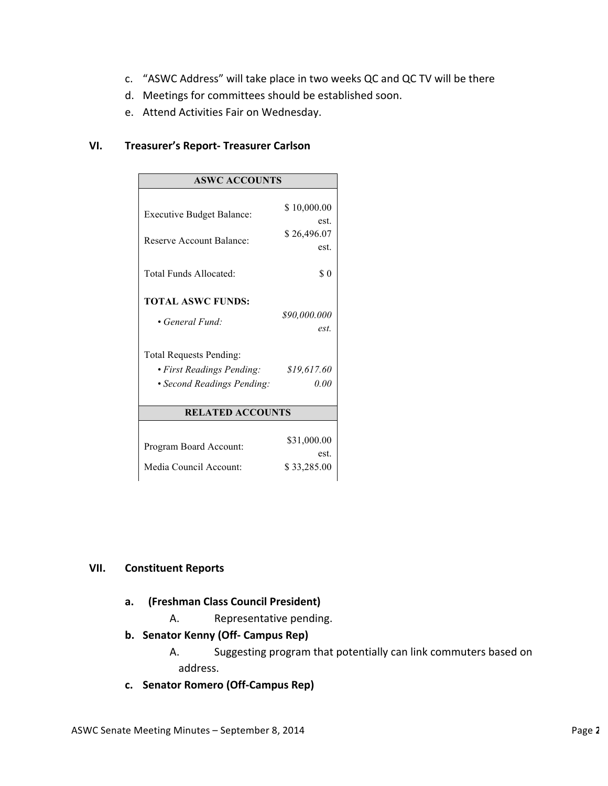- c. "ASWC Address" will take place in two weeks QC and QC TV will be there
- d. Meetings for committees should be established soon.
- e. Attend Activities Fair on Wednesday.

#### **VI. Treasurer's Report- Treasurer Carlson**

| <b>ASWC ACCOUNTS</b>             |                      |
|----------------------------------|----------------------|
| <b>Executive Budget Balance:</b> | \$10,000.00          |
| Reserve Account Balance:         | est.<br>\$26,496.07  |
|                                  | est.                 |
| Total Funds Allocated:           | \$0                  |
| <b>TOTAL ASWC FUNDS:</b>         |                      |
| • General Fund:                  | \$90,000.000<br>est. |
| <b>Total Requests Pending:</b>   |                      |
| • First Readings Pending:        | \$19,617.60          |
| • Second Readings Pending:       | 0.00                 |
| <b>RELATED ACCOUNTS</b>          |                      |
| Program Board Account:           | \$31,000.00<br>est.  |
| Media Council Account:           | \$33,285.00          |

#### **VII. Constituent Reports**

#### **a. (Freshman Class Council President)**

- A. Representative pending.
- **b. Senator Kenny (Off- Campus Rep)**

A. Suggesting program that potentially can link commuters based on address.

**c. Senator Romero (Off-Campus Rep)**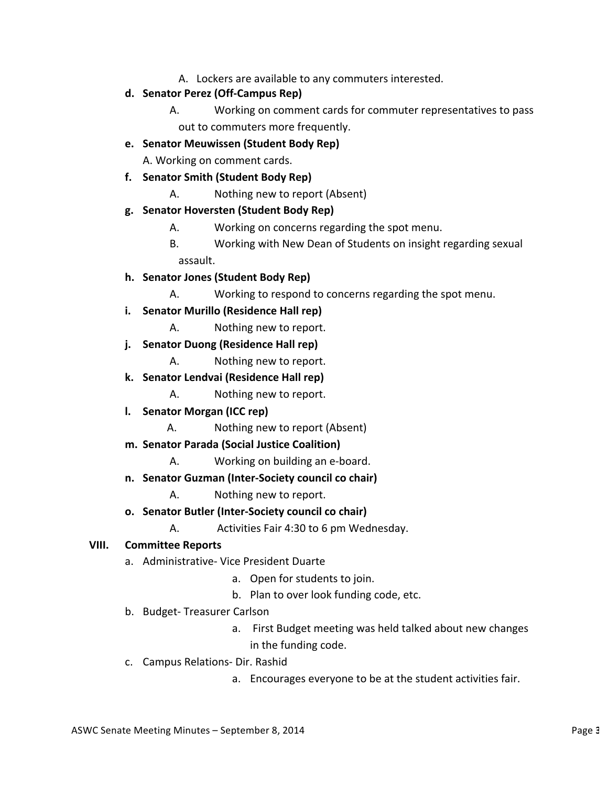- A. Lockers are available to any commuters interested.
- **d. Senator Perez (Off-Campus Rep)**
	- A. Working on comment cards for commuter representatives to pass out to commuters more frequently.
- **e. Senator Meuwissen (Student Body Rep)**

A. Working on comment cards.

- **f. Senator Smith (Student Body Rep)**
	- A. Nothing new to report (Absent)
- **g. Senator Hoversten (Student Body Rep)**
	- A. Working on concerns regarding the spot menu.
	- B. Working with New Dean of Students on insight regarding sexual assault.
- **h. Senator Jones (Student Body Rep)**
	- A. Working to respond to concerns regarding the spot menu.
- **i.** Senator Murillo (Residence Hall rep)
	- A. Nothing new to report.
- **j. Senator Duong (Residence Hall rep)**
	- A. Nothing new to report.
- **k. Senator Lendvai (Residence Hall rep)**
	- A. Nothing new to report.
- **l. Senator Morgan (ICC rep)**
	- A. Nothing new to report (Absent)
- **m. Senator Parada (Social Justice Coalition)**
	- A. Working on building an e-board.
- **n. Senator Guzman (Inter-Society council co chair)**
	- A. Nothing new to report.
- **o. Senator Butler (Inter-Society council co chair)**
	- A. Activities Fair 4:30 to 6 pm Wednesday.

#### **VIII. Committee Reports**

- a. Administrative- Vice President Duarte
	- a. Open for students to join.
	- b. Plan to over look funding code, etc.
- b. Budget- Treasurer Carlson
	- a. First Budget meeting was held talked about new changes in the funding code.
- c. Campus Relations- Dir. Rashid
	- a. Encourages everyone to be at the student activities fair.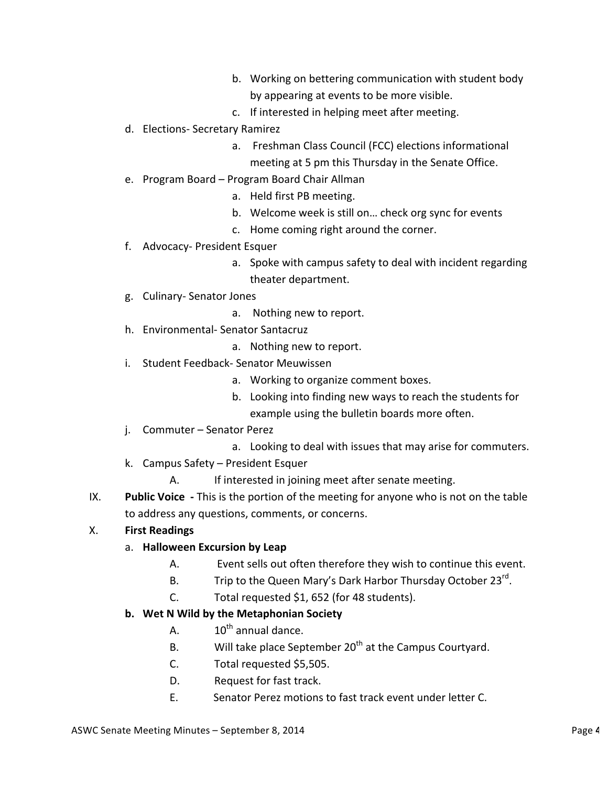- b. Working on bettering communication with student body by appearing at events to be more visible.
- c. If interested in helping meet after meeting.
- d. Elections- Secretary Ramirez
	- a. Freshman Class Council (FCC) elections informational meeting at 5 pm this Thursday in the Senate Office.
- e. Program Board Program Board Chair Allman
	- a. Held first PB meeting.
	- b. Welcome week is still on... check org sync for events
	- c. Home coming right around the corner.
- f. Advocacy- President Esquer
	- a. Spoke with campus safety to deal with incident regarding theater department.
- g. Culinary- Senator Jones
	- a. Nothing new to report.
- h. Environmental- Senator Santacruz
	- a. Nothing new to report.
- i. Student Feedback- Senator Meuwissen
	- a. Working to organize comment boxes.
	- b. Looking into finding new ways to reach the students for example using the bulletin boards more often.
- j. Commuter Senator Perez
	- a. Looking to deal with issues that may arise for commuters.
- k. Campus Safety President Esquer
	- A. If interested in joining meet after senate meeting.
- IX. **Public Voice** This is the portion of the meeting for anyone who is not on the table to address any questions, comments, or concerns.

# X. **First Readings**

- a. **Halloween Excursion by Leap** 
	- A. Event sells out often therefore they wish to continue this event.
	- B. Trip to the Queen Mary's Dark Harbor Thursday October  $23^{rd}$ .
	- C. Total requested \$1, 652 (for 48 students).

# **b.** Wet N Wild by the Metaphonian Society

- A.  $10^{th}$  annual dance.
- B. Will take place September  $20<sup>th</sup>$  at the Campus Courtyard.
- C. Total requested \$5,505.
- D. Request for fast track.
- E. Senator Perez motions to fast track event under letter C.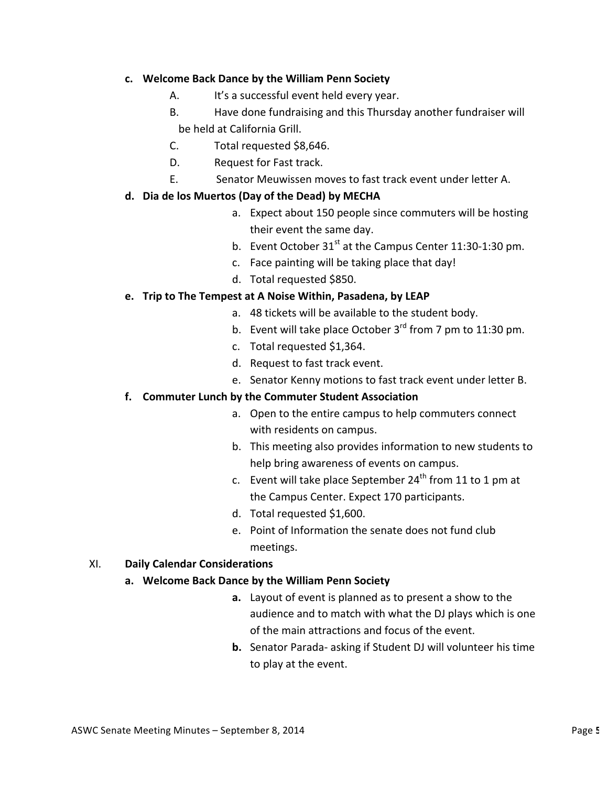## **c. Welcome Back Dance by the William Penn Society**

- A. It's a successful event held every year.
- B. Have done fundraising and this Thursday another fundraiser will

be held at California Grill.

- C. Total requested \$8,646.
- D. Request for Fast track.
- E. Senator Meuwissen moves to fast track event under letter A.

## **d. Dia de los Muertos (Day of the Dead) by MECHA**

- a. Expect about 150 people since commuters will be hosting their event the same day.
- b. Event October  $31<sup>st</sup>$  at the Campus Center 11:30-1:30 pm.
- c. Face painting will be taking place that day!
- d. Total requested \$850.

## **e.** Trip to The Tempest at A Noise Within, Pasadena, by LEAP

- a. 48 tickets will be available to the student body.
- b. Event will take place October  $3^{rd}$  from 7 pm to 11:30 pm.
- c. Total requested \$1,364.
- d. Request to fast track event.
- e. Senator Kenny motions to fast track event under letter B.

#### f. Commuter Lunch by the Commuter Student Association

- a. Open to the entire campus to help commuters connect with residents on campus.
- b. This meeting also provides information to new students to help bring awareness of events on campus.
- c. Event will take place September  $24^{th}$  from 11 to 1 pm at the Campus Center. Expect 170 participants.
- d. Total requested \$1,600.
- e. Point of Information the senate does not fund club meetings.

#### XI. **Daily Calendar Considerations**

#### a. Welcome Back Dance by the William Penn Society

- **a.** Layout of event is planned as to present a show to the audience and to match with what the DJ plays which is one of the main attractions and focus of the event.
- **b.** Senator Parada- asking if Student DJ will volunteer his time to play at the event.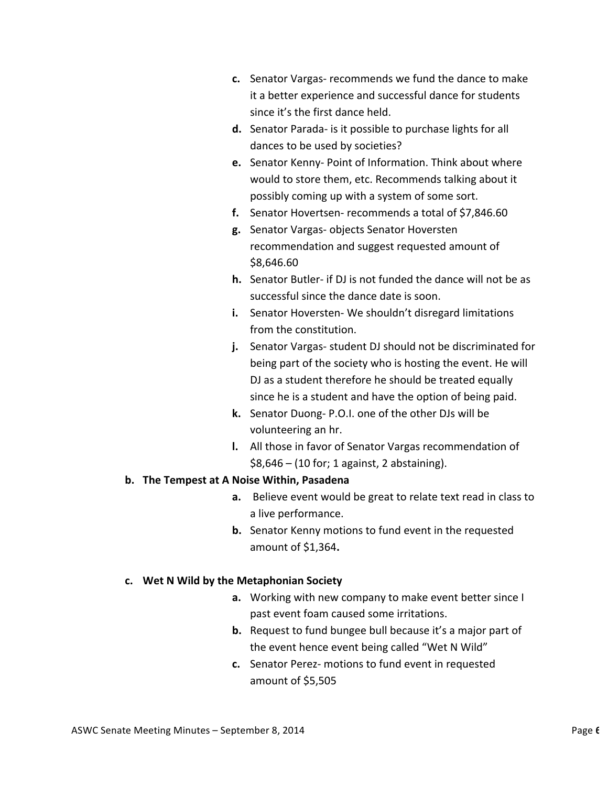- **c.** Senator Vargas- recommends we fund the dance to make it a better experience and successful dance for students since it's the first dance held.
- **d.** Senator Parada- is it possible to purchase lights for all dances to be used by societies?
- **e.** Senator Kenny- Point of Information. Think about where would to store them, etc. Recommends talking about it possibly coming up with a system of some sort.
- **f.** Senator Hovertsen- recommends a total of \$7,846.60
- **g.** Senator Vargas- objects Senator Hoversten recommendation and suggest requested amount of \$8,646.60
- **h.** Senator Butler- if DJ is not funded the dance will not be as successful since the dance date is soon.
- **i.** Senator Hoversten-We shouldn't disregard limitations from the constitution.
- **j.** Senator Vargas-student DJ should not be discriminated for being part of the society who is hosting the event. He will DJ as a student therefore he should be treated equally since he is a student and have the option of being paid.
- **k.** Senator Duong- P.O.I. one of the other DJs will be volunteering an hr.
- **l.** All those in favor of Senator Vargas recommendation of  $$8,646 - (10 for; 1 against, 2 abstaining).$

# **b.** The Tempest at A Noise Within, Pasadena

- **a.** Believe event would be great to relate text read in class to a live performance.
- **b.** Senator Kenny motions to fund event in the requested amount of \$1,364.

# **c. Wet N Wild by the Metaphonian Society**

- **a.** Working with new company to make event better since I past event foam caused some irritations.
- **b.** Request to fund bungee bull because it's a major part of the event hence event being called "Wet N Wild"
- **c.** Senator Perez- motions to fund event in requested amount of \$5,505